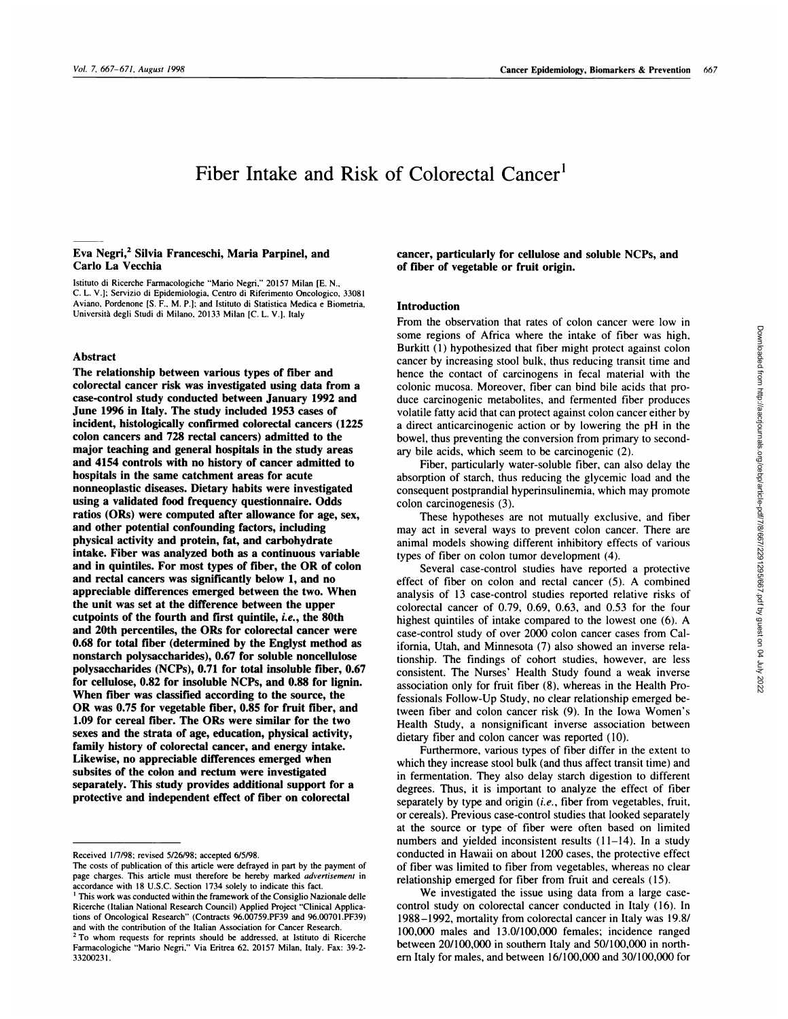# Fiber Intake and Risk of Colorectal Cancer'

## **Eva Negri,2 Silvia Franceschi, Maria Parpinel, and Carlo La Vecchia**

Istituto di Ricerche Farmacologiche "Mario Negri," 20157 Milan [E. N., C. L. V.]: Servizio di Epidemiologia, Centro di Riferimento Oncologico, 33081 Aviano, Pordenone [S. F., M. P.]: and Istituto di Statistica Medica e Biometria, Università degli Studi di Milano, 20133 Milan [C. L. V.], Italy

## **Abstract**

**The relationship between various types of fiber and** colorectal cancer risk was investigated using data from a **case-control study conducted between January 1992 and June 1996 in Italy. The study included 1953 cases of incident, histologically confirmed colorectal cancers (1225 colon cancers and 728 rectal cancers) admitted to the major teaching and general hospitals in the study areas** and **4154 controls with no history of cancer admitted to** hospitals in **the same catchment areas for acute nonneoplastic diseases. Dietary habits were investigated** using a **validated** food **frequency questionnaire. Odds ratios (ORs) were computed after allowance for age, sex, and other potential confounding factors, including physical activity and protein, fat, and carbohydrate intake. Fiber was analyzed both as a continuous variable and in quintiles. For most types of fiber, the OR of colon and rectal cancers was significantly below 1, and no appreciable differences emerged between the two. When the unit was set at the difference between the upper cutpoints of the fourth and first quintile,** *i.e.,* **the 80th and 20th percentiles, the** ORs **for colorectal cancer were 0.68 for total fiber (determined by the Englyst method as** nonstarch polysaccharides), 0.67 for soluble noncellulose **polysaccharides (NCPs), 0.71 for total insoluble fiber, 0.67 for cellulose, 0.82 for insoluble NCPs, and 0.88 for lignin.** When **fiber was classified according to the source, the OR was** 0.75 for vegetable fiber, 0.85 for fruit fiber, and **1.09 for cereal fiber. The** ORs **were similar for the two sexes and the strata of age, education, physical activity, family history of colorectal cancer, and energy intake. Likewise, no appreciable differences emerged when subsites of the colon and rectum were investigated separately. This study provides additional support for a** protective and independent effect of fiber on colorectal

**cancer, particularly for cellulose and soluble NCPs, and of fiber of vegetable or** fruit **origin.**

## Introduction

From the observation that rates of colon cancer were low in some regions of Africa where the intake of fiber was high, Burkitt (1) hypothesized that fiber might protect against colon cancer by increasing stool bulk, thus reducing transit time and hence the contact of carcinogens in fecal material with the colonic mucosa. Moreover, fiber can bind bile acids that produce carcinogenic metabolites, and fermented fiber produces volatile fatty acid that can protect against colon cancer either by a direct anticarcinogenic action or by lowering the pH in the bowel, thus preventing the conversion from primary to secondary bile acids, which seem to be carcinogenic (2).

Fiber, particularly water-soluble fiber, can also delay the absorption of starch, thus reducing the glycemic load and the consequent postprandial hyperinsulinemia, which may promote colon carcinogenesis (3).

These hypotheses are not mutually exclusive, and fiber may act in several ways to prevent colon cancer. There are animal models showing different inhibitory effects of various types of fiber on colon tumor development (4).

Several case-control studies have reported a protective effect of fiber on colon and rectal cancer *(5).* A combined analysis of 13 case-control studies reported relative risks of colorectal cancer of 0.79, 0.69, 0.63, and 0.53 for the four highest quintiles of intake compared to the lowest one (6). A case-control study of over 2000 colon cancer cases from California, Utah, and Minnesota (7) also showed an inverse relationship. The findings of cohort studies, however, are less consistent. The Nurses' Health Study found a weak inverse association only for fruit fiber (8), whereas in the Health Professionals Follow-Up Study, no clear relationship emerged between fiber and colon cancer risk (9). In the Iowa Women's Health Study, a nonsignificant inverse association between dietary fiber and colon cancer was reported (10).

Furthermore, various types of fiber differ in the extent to which they increase stool bulk (and thus affect transit time) and in fermentation. They also delay starch digestion to different degrees. Thus, it is important to analyze the effect of fiber separately by type and origin (*i.e.*, fiber from vegetables, fruit, or cereals). Previous case-control studies that looked separately at the source or type of fiber were often based on limited numbers and yielded inconsistent results  $(11-14)$ . In a study conducted in Hawaii on about 1200 cases, the protective effect of fiber was limited to fiber from vegetables, whereas no clear relationship emerged for fiber from fruit and cereals (15).

We investigated the issue using data from a large case control study on colorectal cancer conducted in Italy (16). In 1988-1992, mortality from colorectal cancer in Italy was 19.8/ 100,000 males and 13.0/100,000 females; incidence ranged between 20/100,000 in southern Italy and 50/100,000 in north ern Italy for males, and between 16/100,000 and 30/100,000 for

Received 1/7/98: revised 5/26/98; accepted 6/5/98.

The costs of publication of this article were defrayed in part by the payment of page charges. This article must therefore be hereby marked *advertisement* in accordance with 18 U.S.C. Section 1734 solely to indicate this fact.

<sup>&</sup>lt;sup>1</sup> This work was conducted within the framework of the Consiglio Nazionale delle Ricerche (Italian National Research Council) Applied Project "Clinical Applications of Oncological Research" (Contracts 96.00759.PF39 and 96.0070l.PF39) and with the contribution of the Italian Association for Cancer Research.

<sup>&</sup>lt;sup>2</sup> To whom requests for reprints should be addressed, at Istituto di Ricerche Farmacologiche "Mario Negri." Via Eritrea 62, 20157 Milan, Italy. Fax: 39-2- 33200231.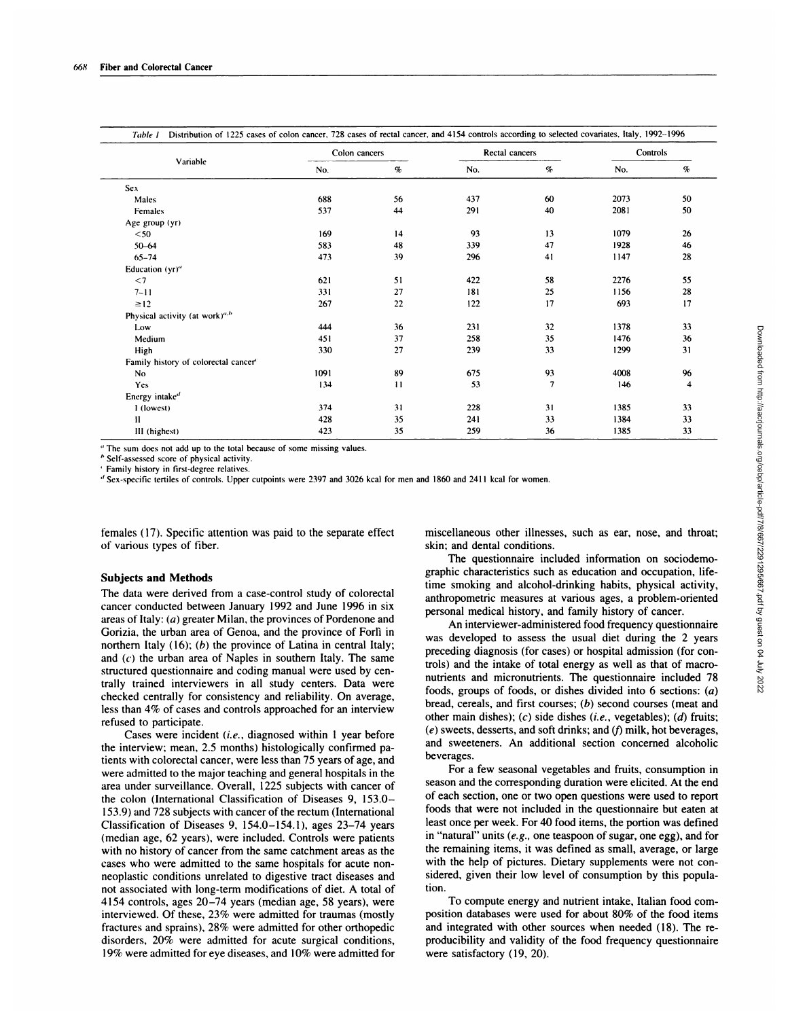|                                            | Colon cancers |          | Rectal cancers |                          | Controls |                         |
|--------------------------------------------|---------------|----------|----------------|--------------------------|----------|-------------------------|
| Variable                                   | No.           | $\sigma$ | No.            | $\%$                     | No.      | $\%$                    |
| <b>Sex</b>                                 |               |          |                |                          |          |                         |
| Males                                      | 688           | 56       | 437            | 60                       | 2073     | 50                      |
| Females                                    | 537           | 44       | 291            | 40                       | 2081     | 50                      |
| Age group (yr)                             |               |          |                |                          |          |                         |
| $50$                                       | 169           | 14       | 93             | 13                       | 1079     | 26                      |
| $50 - 64$                                  | 583           | 48       | 339            | 47                       | 1928     | 46                      |
| $65 - 74$                                  | 473           | 39       | 296            | 41                       | 1147     | 28                      |
| Education (yr)"                            |               |          |                |                          |          |                         |
| $<$ 7                                      | 621           | 51       | 422            | 58                       | 2276     | 55                      |
| $7 - 11$                                   | 331           | 27       | 181            | 25                       | 1156     | 28                      |
| $\geq$ 12                                  | 267           | 22       | 122            | 17                       | 693      | 17                      |
| Physical activity (at work) <sup>a,b</sup> |               |          |                |                          |          |                         |
| Low                                        | 444           | 36       | 231            | 32                       | 1378     | 33                      |
| Medium                                     | 451           | 37       | 258            | 35                       | 1476     | 36                      |
| High                                       | 330           | 27       | 239            | 33                       | 1299     | 31                      |
| Family history of colorectal cancer        |               |          |                |                          |          |                         |
| No                                         | 1091          | 89       | 675            | 93                       | 4008     | 96                      |
| Yes                                        | 134           | 11       | 53             | $\overline{\phantom{a}}$ | 146      | $\overline{\mathbf{4}}$ |
| Energy intaked                             |               |          |                |                          |          |                         |
| 1 (lowest)                                 | 374           | 31       | 228            | 31                       | 1385     | 33                      |
| $\mathbf{H}$                               | 428           | 35       | 241            | 33                       | 1384     | 33                      |
| III (highest)                              | 423           | 35       | 259            | 36                       | 1385     | 33                      |

" The sum docs not add up to the total because of some missing values.

<sup>*h*</sup> Self-assessed score of physical activity.

' Family history in first-degree relatives.

'I Sex-specific tertiles of controls. Upper cutpoints were 2397 and 3026 kcal for men and I 860 and 241 1 kcal for women.

females (17). Specific attention was paid to the separate effect of various types of fiber.

## **Subjects and Methods**

The data were derived from a case-control study of colorectal cancer conducted between January 1992 and June 1996 in six areas of Italy: (a) greater Milan, the provinces of Pordenone and Gorizia, the urban area of Genoa, and the province of Forlì in northern Italy (16); *(b)* the province of Latina in central Italy; and *(c)* the urban area of Naples in southern Italy. The same structured questionnaire and coding manual were used by centrally trained interviewers in all study centers. Data were checked centrally for consistency and reliability. On average, less than 4% of cases and controls approached for an interview refused to participate.

Cases were incident *(i.e. ,* diagnosed within 1 year before the interview; mean, 2.5 months) histologically confirmed patients with colorectal cancer, were less than 75 years of age, and were admitted to the major teaching and general hospitals in the area under surveillance. Overall, 1225 subjects with cancer of the colon (International Classification of Diseases 9, 153.0- 153.9) and 728 subjects with cancer of the rectum (International Classification of Diseases 9, 154.0-154.1), ages 23-74 years (median age, 62 years), were included. Controls were patients with no history of cancer from the same catchment areas as the cases who were admitted to the same hospitals for acute non neoplastic conditions unrelated to digestive tract diseases and not associated with long-term modifications of diet. A total of 4154 controls, ages 20-74 years (median age, 58 years), were interviewed. Of these, 23% were admitted for traumas (mostly fractures and sprains), 28% were admitted for other orthopedic disorders, 20% were admitted for acute surgical conditions, 19% were admitted for eye diseases, and 10% were admitted for

miscellaneous other illnesses, such as ear, nose, and throat; skin; and dental conditions.

The questionnaire included information on sociodemographic characteristics such as education and occupation, lifetime smoking and alcohol-drinking habits, physical activity, anthropometric measures at various ages, a problem-oriented personal medical history, and family history of cancer.

An interviewer-administered food frequency questionnaire was developed to assess the usual diet during the 2 years preceding diagnosis (for cases) or hospital admission (for controls) and the intake of total energy as well as that of macro nutrients and micronutrients. The questionnaire included 78 foods, groups of foods, or dishes divided into 6 sections: (a) bread, cereals, and first courses; *(b)* second courses (meat and other main dishes); *(c)* side dishes *(i.e.,* vegetables); *(d)* fruits; *(e)* sweets, desserts, and soft drinks; and *(f)* milk, hot beverages, and sweeteners. An additional section concerned alcoholic beverages.

For a few seasonal vegetables and fruits, consumption in season and the corresponding duration were elicited. At the end of each section, one or two open questions were used to report foods that were not included in the questionnaire but eaten at least once per week. For 40 food items, the portion was defined in "natural" units *(e.g.,* one teaspoon of sugar, one egg), and for the remaining items, it was defined as small, average, or large with the help of pictures. Dietary supplements were not con sidered, given their low level of consumption by this population.

To compute energy and nutrient intake, Italian food com position databases were used for about 80% of the food items and integrated with other sources when needed (18). The reproducibility and validity of the food frequency questionnaire were satisfactory (19, 20).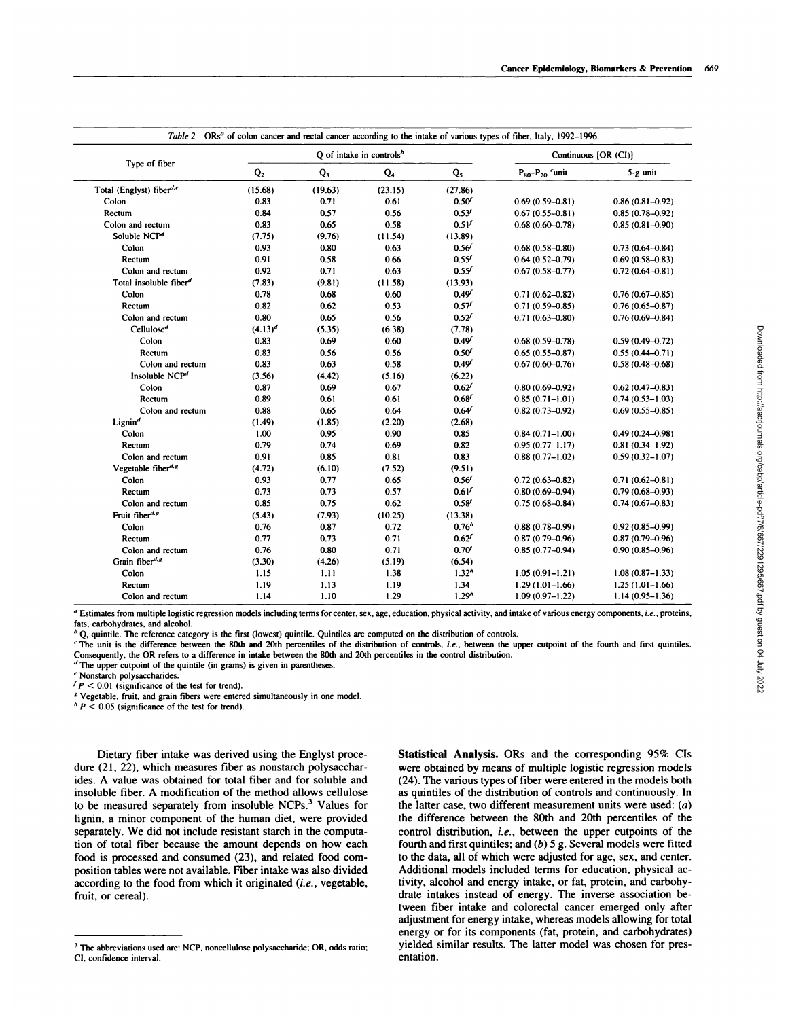|                                              |                |         | $Q$ of intake in controls <sup>b</sup> |                   | Continuous [OR (CI)]      |                     |
|----------------------------------------------|----------------|---------|----------------------------------------|-------------------|---------------------------|---------------------|
| Type of fiber                                | Q <sub>2</sub> | $Q_3$   | $Q_4$                                  | $Q_5$             | $P_{80}$ - $P_{20}$ 'unit | 5-g unit            |
| Total (Englyst) fiber <sup>d,e</sup>         | (15.68)        | (19.63) | (23.15)                                | (27.86)           |                           |                     |
| Colon                                        | 0.83           | 0.71    | 0.61                                   | 0.50 <sup>′</sup> | $0.69(0.59 - 0.81)$       | $0.86(0.81 - 0.92)$ |
| Rectum                                       | 0.84           | 0.57    | 0.56                                   | 0.53 <sup>f</sup> | $0.67(0.55 - 0.81)$       | $0.85(0.78 - 0.92)$ |
| Colon and rectum                             | 0.83           | 0.65    | 0.58                                   | 0.5V              | $0.68(0.60 - 0.78)$       | $0.85(0.81 - 0.90)$ |
| Soluble NCP <sup>d</sup>                     | (7.75)         | (9.76)  | (11.54)                                | (13.89)           |                           |                     |
| Colon                                        | 0.93           | 0.80    | 0.63                                   | 0.56'             | $0.68(0.58 - 0.80)$       | $0.73(0.64 - 0.84)$ |
| Rectum                                       | 0.91           | 0.58    | 0.66                                   | 0.55'             | $0.64(0.52 - 0.79)$       | $0.69(0.58 - 0.83)$ |
| Colon and rectum                             | 0.92           | 0.71    | 0.63                                   | $0.55^{f}$        | $0.67(0.58 - 0.77)$       | $0.72(0.64 - 0.81)$ |
| Total insoluble fiber <sup>d</sup>           | (7.83)         | (9.81)  | (11.58)                                | (13.93)           |                           |                     |
| Colon                                        | 0.78           | 0.68    | 0.60                                   | 0.49'             | $0.71(0.62 - 0.82)$       | $0.76(0.67 - 0.85)$ |
| Rectum                                       | 0.82           | 0.62    | 0.53                                   | 0.57              | $0.71(0.59 - 0.85)$       | $0.76(0.65 - 0.87)$ |
| Colon and rectum                             | 0.80           | 0.65    | 0.56                                   | $0.52^{f}$        | $0.71(0.63 - 0.80)$       | $0.76(0.69 - 0.84)$ |
| Cellulose <sup>d</sup>                       | $(4.13)^d$     | (5.35)  | (6.38)                                 | (7.78)            |                           |                     |
| Colon                                        | 0.83           | 0.69    | 0.60                                   | 0.49 <sup>f</sup> | $0.68(0.59 - 0.78)$       | $0.59(0.49 - 0.72)$ |
| Rectum                                       | 0.83           | 0.56    | 0.56                                   | 0.50 <sup>′</sup> | $0.65(0.55 - 0.87)$       | $0.55(0.44 - 0.71)$ |
| Colon and rectum                             | 0.83           | 0.63    | 0.58                                   | 0.49              | $0.67(0.60 - 0.76)$       | $0.58(0.48 - 0.68)$ |
| Insoluble $NCPd$                             | (3.56)         | (4.42)  | (5.16)                                 | (6.22)            |                           |                     |
| Colon                                        | 0.87           | 0.69    | 0.67                                   | $0.62^{f}$        | $0.80(0.69 - 0.92)$       | $0.62(0.47 - 0.83)$ |
| Rectum                                       | 0.89           | 0.61    | 0.61                                   | $0.68^{f}$        | $0.85(0.71 - 1.01)$       | $0.74(0.53 - 1.03)$ |
| Colon and rectum                             | 0.88           | 0.65    | 0.64                                   | 0.64'             | $0.82(0.73 - 0.92)$       | $0.69(0.55 - 0.85)$ |
| Lignin <sup>d</sup>                          | (1.49)         | (1.85)  | (2.20)                                 | (2.68)            |                           |                     |
| Colon                                        | 1.00           | 0.95    | 0.90                                   | 0.85              | $0.84(0.71 - 1.00)$       | $0.49(0.24 - 0.98)$ |
| Rectum                                       | 0.79           | 0.74    | 0.69                                   | 0.82              | $0.95(0.77 - 1.17)$       | $0.81(0.34 - 1.92)$ |
| Colon and rectum                             | 0.91           | 0.85    | 0.81                                   | 0.83              | $0.88(0.77 - 1.02)$       | $0.59(0.32 - 1.07)$ |
| Vegetable fiber <sup><math>d, g</math></sup> | (4.72)         | (6.10)  | (7.52)                                 | (9.51)            |                           |                     |
| Colon                                        | 0.93           | 0.77    | 0.65                                   | 0.56'             | $0.72(0.63 - 0.82)$       | $0.71(0.62 - 0.81)$ |
| Rectum                                       | 0.73           | 0.73    | 0.57                                   | 0.61'             | $0.80(0.69 - 0.94)$       | $0.79(0.68 - 0.93)$ |
| Colon and rectum                             | 0.85           | 0.75    | 0.62                                   | $0.58^{f}$        | $0.75(0.68 - 0.84)$       | $0.74(0.67 - 0.83)$ |
| Fruit fiber <sup>d.g</sup>                   | (5.43)         | (7.93)  | (10.25)                                | (13.38)           |                           |                     |
| Colon                                        | 0.76           | 0.87    | 0.72                                   | 0.76 <sup>h</sup> | $0.88(0.78 - 0.99)$       | $0.92(0.85 - 0.99)$ |
| Rectum                                       | 0.77           | 0.73    | 0.71                                   | $0.62^{f}$        | $0.87(0.79 - 0.96)$       | $0.87(0.79 - 0.96)$ |
| Colon and rectum                             | 0.76           | 0.80    | 0.71                                   | 0.70              | $0.85(0.77 - 0.94)$       | $0.90(0.85 - 0.96)$ |
| Grain fiber <sup>d.g</sup>                   | (3.30)         | (4.26)  | (5.19)                                 | (6.54)            |                           |                     |
| Colon                                        | 1.15           | 1.11    | 1.38                                   | 1.32 <sup>n</sup> | $1.05(0.91 - 1.21)$       | $1.08(0.87 - 1.33)$ |
| Rectum                                       | 1.19           | 1.13    | 1.19                                   | 1.34              | $1.29(1.01 - 1.66)$       | $1.25(1.01 - 1.66)$ |
| Colon and rectum                             | 1.14           | 1.10    | 1.29                                   | 1.29 <sup>h</sup> | $1.09(0.97 - 1.22)$       | $1.14(0.95 - 1.36)$ |

' Estimates from multiple logistic regression models including terms for center, sex, age, education, physical activity, and intake of various energy components, *i.e.* **,**proteins, fats, carbohydrates, and alcohol.

 $b$  Q, quintile. The reference category is the first (lowest) quintile. Quintiles are computed on the distribution of controls.

The unit is the difference between the 80th **and** 20th percentiles of the distribution of controls. *i.e.,* between the **upper cutpoint of the fourth and** first quintiles. Consequently, the OR refers to a difference in intake between the 80th **and** 20th percentiles in the control distribution.

 $d$  The upper cutpoint of the quintile (in grams) is given in parentheses.

Nonstarch polysaccharides.

 $f$   $P$  < 0.01 (significance of the test for trend).

**<sup>S</sup>** Vegetable, fruit, and grain fibers were entered simultaneously in one model.

 $\frac{h}{r}$  P < 0.05 (significance of the test for trend).

Dietary fiber intake was derived using the Englyst procedure (21, 22), which measures fiber as nonstarch polysaccharides. A value was obtained for total fiber and for soluble and insoluble fiber. A modification of the method allows cellulose to be measured separately from insoluble NCPs.<sup>3</sup> Values for lignin, a minor component of the human diet, were provided separately. We did not include resistant starch in the computation of total fiber because the amount depends on how each food is processed and consumed (23), and related food composition tables were not available. Fiber intake was also divided according to the food from which it originated *(i.e.,* vegetable, fruit, or cereal).

Statistical **Analysis. ORs and the corresponding** *95%* CIs were obtained by means of multiple logistic regression models (24). The various types of fiber were entered in the models both as quintiles of the distribution of controls and continuously. In the latter case, two different measurement units were used:  $(a)$ the difference between the 80th and 20th percentiles of the control distribution, *i.e.,* between the upper cutpoints of the fourth and first quintiles; and *(b) 5* g. Several models were fitted to the data, all of which were adjusted for age, sex, and center. Additional models included terms for education, physical activity, alcohol and energy intake, or fat, protein, and carbohydrate intakes instead of energy. The inverse association between fiber intake and colorectal cancer emerged only after adjustment for energy intake, whereas models allowing for total energy or for its components (fat, protein, and carbohydrates) yielded similar results. The latter model was chosen for presentation.

**<sup>3</sup>** The abbreviations used are: NCP. noncellulose polysaccharide: OR, odds ratio: **Cl, confidence interval.**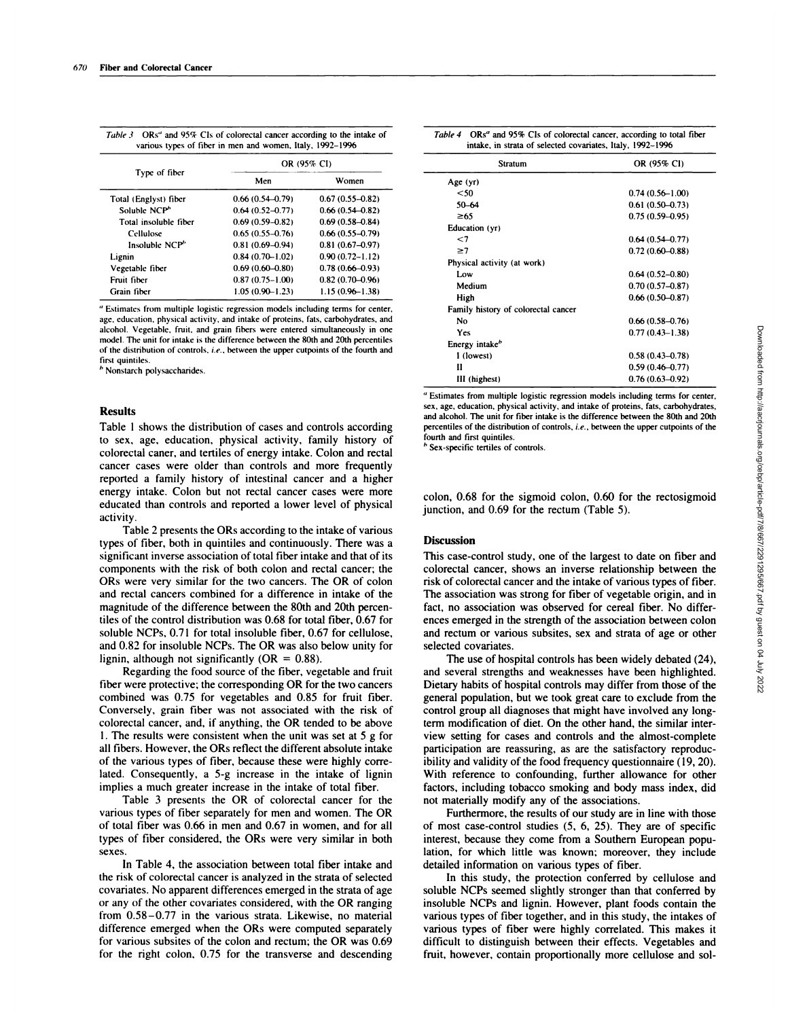|                            | OR (95% CI)         |                     |  |
|----------------------------|---------------------|---------------------|--|
| Type of fiber              | Men                 | Women               |  |
| Total (Englyst) fiber      | $0.66(0.54 - 0.79)$ | $0.67(0.55 - 0.82)$ |  |
| Soluble NCP <sup>h</sup>   | $0.64(0.52 - 0.77)$ | $0.66(0.54 - 0.82)$ |  |
| Total insoluble fiber      | $0.69(0.59 - 0.82)$ | $0.69(0.58 - 0.84)$ |  |
| Cellulose                  | $0.65(0.55 - 0.76)$ | $0.66(0.55 - 0.79)$ |  |
| Insoluble NCP <sup>h</sup> | $0.81(0.69 - 0.94)$ | $0.81(0.67 - 0.97)$ |  |
| Lignin                     | $0.84(0.70 - 1.02)$ | $0.90(0.72 - 1.12)$ |  |
| Vegetable fiber            | $0.69(0.60 - 0.80)$ | $0.78(0.66 - 0.93)$ |  |
| Fruit fiber                | $0.87(0.75 - 1.00)$ | $0.82(0.70 - 0.96)$ |  |
| Grain fiber                | $1.05(0.90 - 1.23)$ | $1.15(0.96 - 1.38)$ |  |

*Table 3* ORs" and 95% CIs of colorectal cancer according to the intake of various types of fiber in men and women, Italy. 1992-1996

" Estimates from multiple logistic regression models including terms for center, age. education. physical activity. and intake of proteins. fats, carbohydrates, and alcohol. Vegetable. fruit, and grain fibers were entered simultaneously in one model. The unit for intake is the difference between the 80th and 20th percentiles of the distribution of controls. *i.e.,* between the upper cutpoints of the fourth and first quintiles.

*b* Nonstarch polysaccharides.

### **Results**

Table 1 shows the distribution of cases and controls according to sex, age, education, physical activity, family history of colorectal caner, and tertiles of energy intake. Colon and rectal cancer cases were older than controls and more frequently reported a family history of intestinal cancer and a higher energy intake. Colon but not rectal cancer cases were more educated than controls and reported a lower level of physical activity.

Table 2 presents the ORs according to the intake of various types of fiber, both in quintiles and continuously. There was a significant inverse association of total fiber intake and that of its components with the risk of both colon and rectal cancer; the ORs were very similar for the two cancers. The OR of colon and rectal cancers combined for a difference in intake of the magnitude of the difference between the 80th and 20th percentiles of the control distribution was 0.68 for total fiber, 0.67 for soluble NCPs, 0.71 for total insoluble fiber, 0.67 for cellulose, and 0.82 for insoluble NCPs. The OR was also below unity for lignin, although not significantly ( $OR = 0.88$ ).

Regarding the food source of the fiber, vegetable and fruit fiber were protective; the corresponding OR for the two cancers combined was 0.75 for vegetables and 0.85 for fruit fiber. Conversely, grain fiber was not associated with the risk of colorectal cancer, and, if anything, the OR tended to be above 1*.* The results were consistent when the unit was set at *<sup>5</sup>* g for all fibers. However, the ORs reflect the different absolute intake of the various types of fiber, because these were highly correlated. Consequently, a 5-g increase in the intake of lignin implies a much greater increase in the intake of total fiber.

Table 3 presents the OR of colorectal cancer for the various types of fiber separately for men and women. The OR of total fiber was 0.66 in men and 0.67 in women, and for all types of fiber considered, the ORs were very similar in both sexes.

In Table 4, the association between total fiber intake and the risk of colorectal cancer is analyzed in the strata of selected covariates. No apparent differences emerged in the strata of age or any of the other covariates considered, with the OR ranging from 0.58-0.77 in the various strata. Likewise, no material difference emerged when the ORs were computed separately for various subsites of the colon and rectum; the OR was 0.69 for the right colon, 0.75 for the transverse and descending

| Table 4 ORs <sup>a</sup> and 95% Cls of colorectal cancer, according to total fiber |  |
|-------------------------------------------------------------------------------------|--|
| intake, in strata of selected covariates, Italy, 1992–1996                          |  |

| Stratum                             | OR (95% CI)         |
|-------------------------------------|---------------------|
| Age (yr)                            |                     |
| $50$                                | $0.74(0.56 - 1.00)$ |
| 50-64                               | $0.61(0.50 - 0.73)$ |
| $\geq 65$                           | $0.75(0.59-0.95)$   |
| Education (yr)                      |                     |
| $<$ 7                               | $0.64(0.54 - 0.77)$ |
| $\geq 7$                            | $0.72(0.60 - 0.88)$ |
| Physical activity (at work)         |                     |
| Low                                 | $0.64(0.52 - 0.80)$ |
| Medium                              | $0.70(0.57 - 0.87)$ |
| High                                | $0.66(0.50 - 0.87)$ |
| Family history of colorectal cancer |                     |
| No                                  | $0.66(0.58 - 0.76)$ |
| Yes                                 | $0.77(0.43 - 1.38)$ |
| Energy intake <sup>b</sup>          |                     |
| I (lowest)                          | $0.58(0.43 - 0.78)$ |
| п                                   | $0.59(0.46 - 0.77)$ |
| III (highest)                       | $0.76(0.63 - 0.92)$ |

" Estimates from multiple logistic regression models including terms for center, sex, age, education, physical activity. and intake of proteins, fats, carbohydrates, and alcohol. The unit for fiber intake is the difference between the 80th and 20th percentiles of the distribution of controls, *i.e.,* between the upper cutpoints of the fourth and first quintiles.

Sex-specific tertiles of controls.

colon, 0.68 for the sigmoid colon, 0.60 for the rectosigmoid junction, and 0.69 for the rectum (Table *5).*

#### **Discussion**

This case-control study, one of the largest to date on fiber and colorectal cancer, shows an inverse relationship between the risk of colorectal cancer and the intake of various types of fiber. The association was strong for fiber of vegetable origin, and in fact, no association was observed for cereal fiber. No differ ences emerged in the strength of the association between colon and rectum or various subsites, sex and strata of age or other selected covariates.

The use of hospital controls has been widely debated (24), and several strengths and weaknesses have been highlighted. Dietary habits of hospital controls may differ from those of the general population, but we took great care to exclude from the control group all diagnoses that might have involved any longterm modification of diet. On the other hand, the similar interview setting for cases and controls and the almost-complete participation are reassuring, as are the satisfactory reproducibility and validity of the food frequency questionnaire (19, 20). With reference to confounding, further allowance for other factors, including tobacco smoking and body mass index, did not materially modify any of the associations.

Furthermore, the results of our study are in line with those of most case-control studies (5, 6, 25). They are of specific interest, because they come from a Southern European population, for which little was known; moreover, they include detailed information on various types of fiber.

In this study, the protection conferred by cellulose and soluble NCPs seemed slightly stronger than that conferred by insoluble NCPs and lignin. However, plant foods contain the various types of fiber together, and in this study, the intakes of various types of fiber were highly correlated. This makes it difficult to distinguish between their effects. Vegetables and fruit, however, contain proportionally more cellulose and sol-